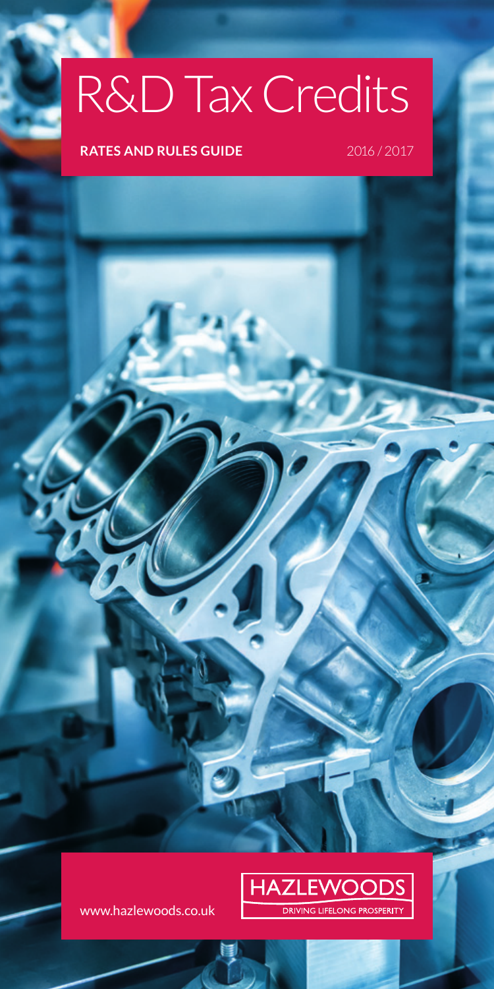# R&D Tax Credits

**RATES AND RULES GUIDE** 2016/2017

www.hazlewoods.co.uk

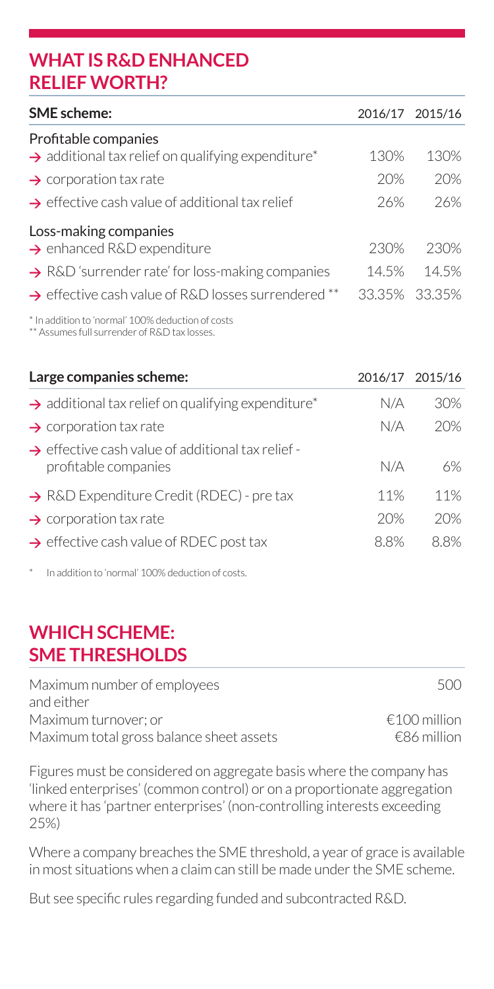## **WHAT IS R&D ENHANCED RELIEF WORTH?**

| <b>SME</b> scheme:                                                                                     |        | 2016/17 2015/16 |
|--------------------------------------------------------------------------------------------------------|--------|-----------------|
| Profitable companies                                                                                   |        |                 |
| $\rightarrow$ additional tax relief on qualifying expenditure*                                         | 130%   | 130%            |
| $\rightarrow$ corporation tax rate                                                                     | 20%    | 20%             |
| $\rightarrow$ effective cash value of additional tax relief                                            | 26%    | 26%             |
| Loss-making companies                                                                                  |        |                 |
| $\rightarrow$ enhanced R&D expenditure                                                                 | 230%   | 230%            |
| $\rightarrow$ R&D 'surrender rate' for loss-making companies                                           | 14.5%  | 14.5%           |
| $\rightarrow$ effective cash value of R&D losses surrendered **                                        | 33.35% | 33.35%          |
| * In addition to 'normal' 100% deduction of costs<br>** A consequently discussed and EDO Discussion on |        |                 |

Assumes full surrender of R&D tax losses.

| Large companies scheme:                                                               |      | 2016/17 2015/16 |
|---------------------------------------------------------------------------------------|------|-----------------|
| $\rightarrow$ additional tax relief on qualifying expenditure <sup>*</sup>            | N/A  | 30%             |
| $\rightarrow$ corporation tax rate                                                    | N/A  | 20%             |
| $\rightarrow$ effective cash value of additional tax relief -<br>profitable companies | N/A  | 6%              |
| → R&D Expenditure Credit (RDEC) - pre tax                                             | 11%  | 11%             |
| $\rightarrow$ corporation tax rate                                                    | 20%  | 20%             |
| $\rightarrow$ effective cash value of RDEC post tax                                   | 8.8% | 8.8%            |
|                                                                                       |      |                 |

In addition to 'normal' 100% deduction of costs.

## **WHICH SCHEME: SME THRESHOLDS**

| Maximum number of employees              | 500            |
|------------------------------------------|----------------|
| and either                               |                |
| Maximum turnover: or                     | $£100$ million |
| Maximum total gross balance sheet assets | $€86$ million  |

Figures must be considered on aggregate basis where the company has 'linked enterprises' (common control) or on a proportionate aggregation where it has 'partner enterprises' (non-controlling interests exceeding 25%)

Where a company breaches the SME threshold, a year of grace is available in most situations when a claim can still be made under the SME scheme.

But see specific rules regarding funded and subcontracted R&D.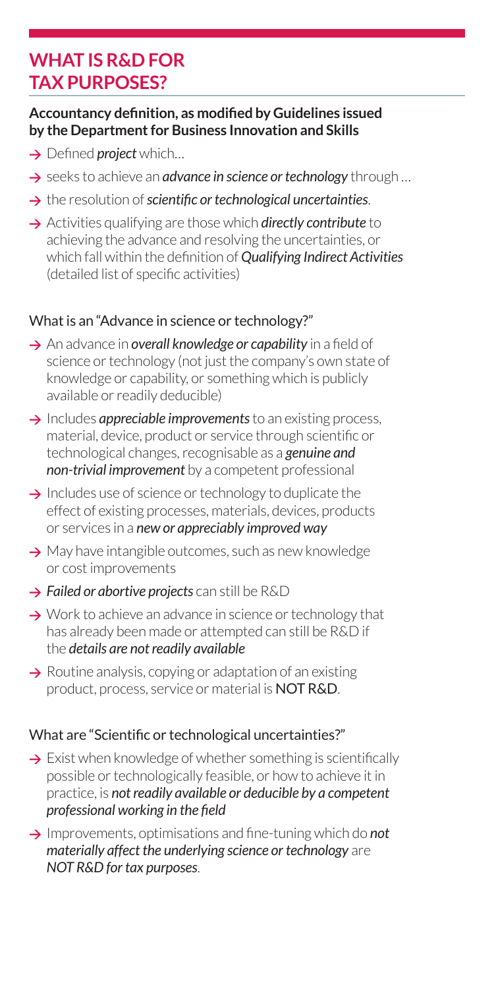## **WHAT IS R&D FOR TAX PURPOSES?**

#### **Accountancy definition, as modified by Guidelines issued by the Department for Business Innovation and Skills**

- **>** Defined *project* which…
- **>** seeks to achieve an *advance in science or technology* through …
- **>** the resolution of *scientific or technological uncertainties*.
- **>** Activities qualifying are those which *directly contribute* to achieving the advance and resolving the uncertainties, or which fall within the definition of *Qualifying Indirect Activities* (detailed list of specific activities)

## What is an "Advance in science or technology?"

- **>** An advance in *overall knowledge or capability* in a field of science or technology (not just the company's own state of knowledge or capability, or something which is publicly available or readily deducible)
- **>** Includes *appreciable improvements* to an existing process, material, device, product or service through scientific or technological changes, recognisable as a *genuine and non-trivial improvement* by a competent professional
- **>** Includes use of science or technology to duplicate the effect of existing processes, materials, devices, products or services in a *new or appreciably improved way*
- **>** May have intangible outcomes, such as new knowledge or cost improvements
- **>** *Failed or abortive projects* can still be R&D
- **>** Work to achieve an advance in science or technology that has already been made or attempted can still be R&D if the *details are not readily available*
- **>** Routine analysis, copying or adaptation of an existing product, process, service or material is NOT R&D.

## What are "Scientific or technological uncertainties?"

- **>** Exist when knowledge of whether something is scientifically possible or technologically feasible, or how to achieve it in practice, is *not readily available or deducible by a competent professional working in the field*
- **>** Improvements, optimisations and fine-tuning which do *not materially affect the underlying science or technology* are *NOT R&D for tax purposes*.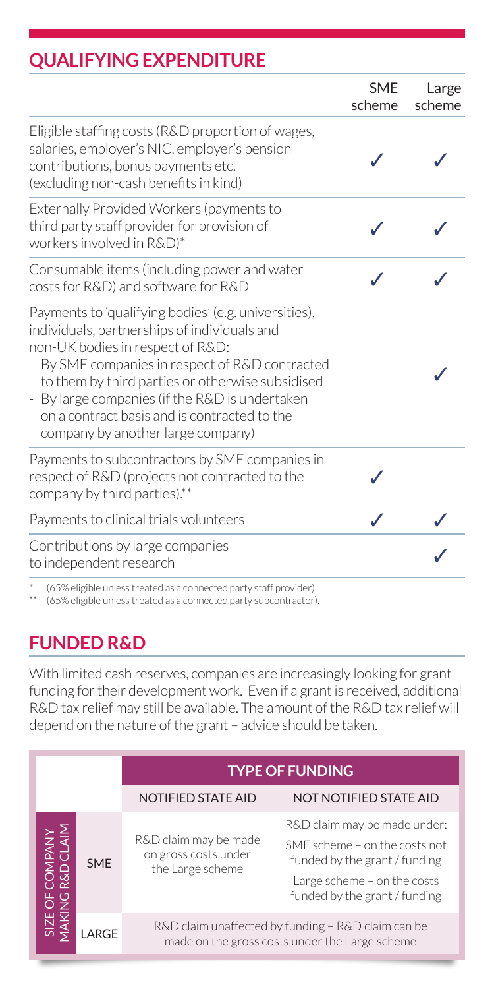# **QUALIFYING EXPENDITURE**

|                                                                                                                                                                                                                                                                                                                                                                                        | <b>SME</b><br>scheme | Large<br>scheme |
|----------------------------------------------------------------------------------------------------------------------------------------------------------------------------------------------------------------------------------------------------------------------------------------------------------------------------------------------------------------------------------------|----------------------|-----------------|
| Eligible staffing costs (R&D proportion of wages,<br>salaries, employer's NIC, employer's pension<br>contributions, bonus payments etc.<br>(excluding non-cash benefits in kind)                                                                                                                                                                                                       |                      |                 |
| Externally Provided Workers (payments to<br>third party staff provider for provision of<br>workers involved in R&D)*                                                                                                                                                                                                                                                                   |                      |                 |
| Consumable items (including power and water<br>costs for R&D) and software for R&D                                                                                                                                                                                                                                                                                                     |                      |                 |
| Payments to 'qualifying bodies' (e.g. universities),<br>individuals, partnerships of individuals and<br>non-UK bodies in respect of R&D:<br>- By SME companies in respect of R&D contracted<br>to them by third parties or otherwise subsidised<br>- By large companies (if the R&D is undertaken<br>on a contract basis and is contracted to the<br>company by another large company) |                      |                 |
| Payments to subcontractors by SME companies in<br>respect of R&D (projects not contracted to the<br>company by third parties).**                                                                                                                                                                                                                                                       |                      |                 |
| Payments to clinical trials volunteers                                                                                                                                                                                                                                                                                                                                                 |                      |                 |
| Contributions by large companies<br>to independent research                                                                                                                                                                                                                                                                                                                            |                      |                 |
| (65% eligible unless treated as a connected party staff provider).                                                                                                                                                                                                                                                                                                                     |                      |                 |

\* (65% eligible unless treated as a connected party staff provider). \*\* (65% eligible unless treated as a connected party subcontractor).

## **FUNDED R&D**

With limited cash reserves, companies are increasingly looking for grant funding for their development work. Even if a grant is received, additional R&D tax relief may still be available. The amount of the R&D tax relief will depend on the nature of the grant – advice should be taken.

|                                    |       | <b>TYPE OF FUNDING</b>                                                                               |                                                                |  |
|------------------------------------|-------|------------------------------------------------------------------------------------------------------|----------------------------------------------------------------|--|
|                                    |       | NOTIFIED STATE AID                                                                                   | NOT NOTIFIED STATE AID                                         |  |
|                                    |       |                                                                                                      | R&D claim may be made under:                                   |  |
| COMPANY<br>R&D CLAIM<br><b>SME</b> |       | R&D claim may be made<br>on gross costs under<br>the Large scheme                                    | SME scheme - on the costs not<br>funded by the grant / funding |  |
|                                    |       | Large scheme - on the costs<br>funded by the grant / funding                                         |                                                                |  |
| SIZE<br>AAKI                       | LARGE | R&D claim unaffected by funding - R&D claim can be<br>made on the gross costs under the Large scheme |                                                                |  |
|                                    |       |                                                                                                      |                                                                |  |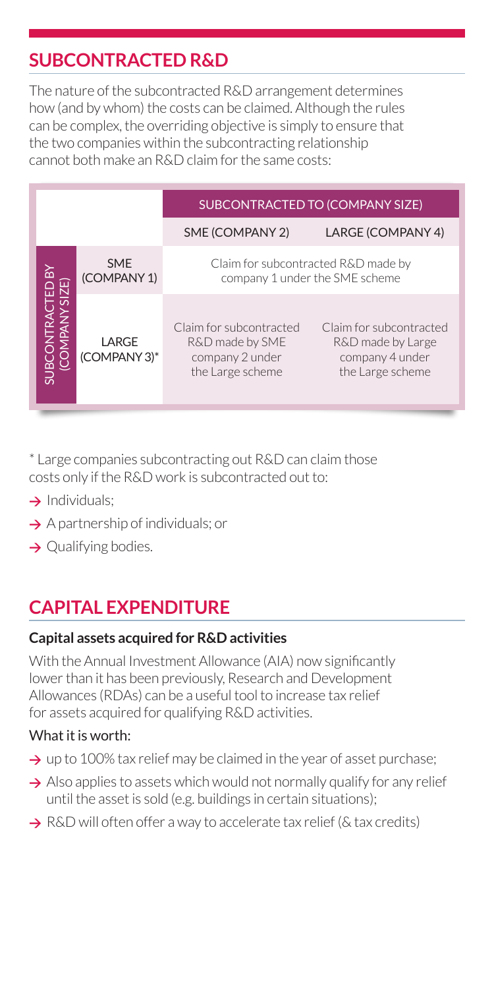## **SUBCONTRACTED R&D**

The nature of the subcontracted R&D arrangement determines how (and by whom) the costs can be claimed. Although the rules can be complex, the overriding objective is simply to ensure that the two companies within the subcontracting relationship cannot both make an R&D claim for the same costs:

|                            |                           | SUBCONTRACTED TO (COMPANY SIZE)                                                   |                                                                                     |
|----------------------------|---------------------------|-----------------------------------------------------------------------------------|-------------------------------------------------------------------------------------|
|                            |                           | SME (COMPANY 2)                                                                   | LARGE (COMPANY 4)                                                                   |
| EDBY                       | <b>SME</b><br>(COMPANY 1) | Claim for subcontracted R&D made by<br>company 1 under the SME scheme             |                                                                                     |
| ANY SIZE)<br><b>RECONT</b> | LARGE<br>(COMPANY 3)*     | Claim for subcontracted<br>R&D made by SME<br>company 2 under<br>the Large scheme | Claim for subcontracted<br>R&D made by Large<br>company 4 under<br>the Large scheme |

\* Large companies subcontracting out R&D can claim those costs only if the R&D work is subcontracted out to:

- **>** Individuals;
- **>** A partnership of individuals; or
- **>** Qualifying bodies.

# **CAPITAL EXPENDITURE**

## **Capital assets acquired for R&D activities**

With the Annual Investment Allowance (AIA) now significantly lower than it has been previously, Research and Development Allowances (RDAs) can be a useful tool to increase tax relief for assets acquired for qualifying R&D activities.

## What it is worth:

- → up to 100% tax relief may be claimed in the year of asset purchase;
- → Also applies to assets which would not normally qualify for any relief until the asset is sold (e.g. buildings in certain situations);
- → R&D will often offer a way to accelerate tax relief (& tax credits)